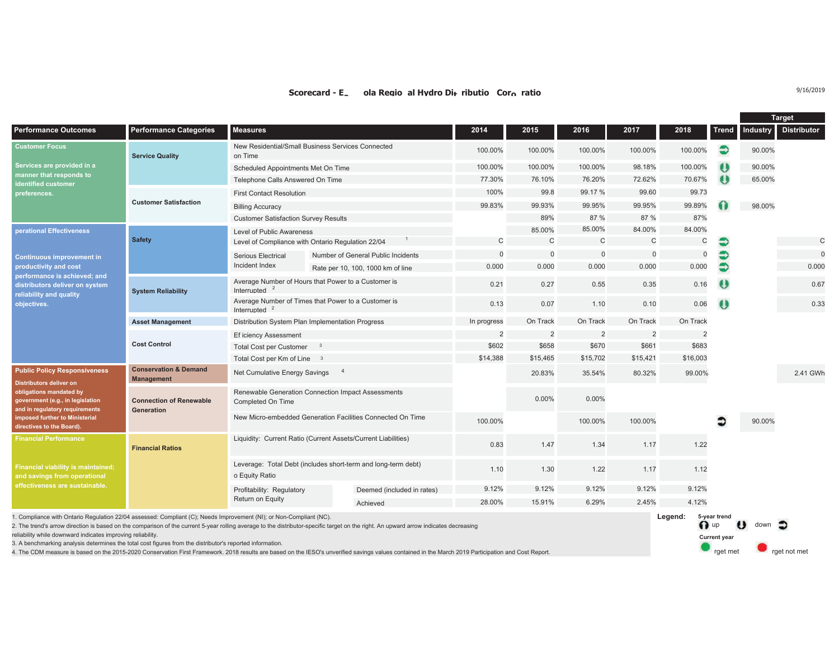### **Scorecard - E<sub>-</sub> Ola Regio al Hydro Di+ ributio Cor<sub>o</sub> ratio and a construction of the state of the state of the state of the state of the state of the state of the state of the state of the state of the state of the stat**

|                                                                                                                                                                                                                                                                                                                                                                            |                                                       |                                                                                 |                                                            |                |                |                |                |                |                                                     |          | <b>Target</b>      |
|----------------------------------------------------------------------------------------------------------------------------------------------------------------------------------------------------------------------------------------------------------------------------------------------------------------------------------------------------------------------------|-------------------------------------------------------|---------------------------------------------------------------------------------|------------------------------------------------------------|----------------|----------------|----------------|----------------|----------------|-----------------------------------------------------|----------|--------------------|
| <b>Performance Outcomes</b>                                                                                                                                                                                                                                                                                                                                                | <b>Performance Categories</b>                         | <b>Measures</b>                                                                 |                                                            | 2014           | 2015           | 2016           | 2017           | 2018           | Trend                                               | Industry | <b>Distributor</b> |
| <b>Customer Focus</b><br>Services are provided in a<br>manner that responds to<br>identified customer<br>preferences.                                                                                                                                                                                                                                                      | <b>Service Quality</b>                                | on Time                                                                         | New Residential/Small Business Services Connected          | 100.00%        | 100.00%        | 100.00%        | 100.00%        | 100.00%        | €                                                   | 90.00%   |                    |
|                                                                                                                                                                                                                                                                                                                                                                            |                                                       | Scheduled Appointments Met On Time                                              |                                                            | 100.00%        | 100.00%        | 100.00%        | 98.18%         | 100.00%        | $\bullet$                                           | 90.00%   |                    |
|                                                                                                                                                                                                                                                                                                                                                                            |                                                       | Telephone Calls Answered On Time                                                |                                                            | 77.30%         | 76.10%         | 76.20%         | 72.62%         | 70.67%         | $\bullet$                                           | 65.00%   |                    |
|                                                                                                                                                                                                                                                                                                                                                                            | <b>Customer Satisfaction</b>                          | <b>First Contact Resolution</b>                                                 |                                                            | 100%           | 99.8           | 99.17%         | 99.60          | 99.73          |                                                     |          |                    |
|                                                                                                                                                                                                                                                                                                                                                                            |                                                       | <b>Billing Accuracy</b>                                                         |                                                            | 99.83%         | 99.93%         | 99.95%         | 99.95%         | 99.89%         |                                                     | 98.00%   |                    |
|                                                                                                                                                                                                                                                                                                                                                                            |                                                       | <b>Customer Satisfaction Survey Results</b>                                     |                                                            |                | 89%            | 87 %           | 87 %           | 87%            |                                                     |          |                    |
| perational Effectiveness<br><b>Continuous improvement in</b><br>productivity and cost<br>performance is achieved; and<br>distributors deliver on system<br>reliability and quality<br>objectives.                                                                                                                                                                          | <b>Safety</b>                                         | Level of Public Awareness                                                       |                                                            |                | 85.00%         | 85.00%         | 84.00%         | 84.00%         |                                                     |          |                    |
|                                                                                                                                                                                                                                                                                                                                                                            |                                                       | Level of Compliance with Ontario Regulation 22/04                               |                                                            | $\mathcal{C}$  | $\mathsf{C}$   | $\mathsf{C}$   | $\mathcal{C}$  | C              | €                                                   |          | $\mathsf{C}$       |
|                                                                                                                                                                                                                                                                                                                                                                            |                                                       | <b>Serious Electrical</b><br>Incident Index                                     | Number of General Public Incidents                         | $\Omega$       | $\mathbf{0}$   | $\mathbf 0$    | $\mathbf{0}$   | $\Omega$       | Э                                                   |          | $\Omega$           |
|                                                                                                                                                                                                                                                                                                                                                                            |                                                       |                                                                                 | Rate per 10, 100, 1000 km of line                          | 0.000          | 0.000          | 0.000          | 0.000          | 0.000          |                                                     |          | 0.000              |
|                                                                                                                                                                                                                                                                                                                                                                            | <b>System Reliability</b>                             | Interrupted                                                                     | Average Number of Hours that Power to a Customer is        | 0.21           | 0.27           | 0.55           | 0.35           | 0.16           | $\bullet$                                           |          | 0.67               |
|                                                                                                                                                                                                                                                                                                                                                                            |                                                       | Interrupted                                                                     | Average Number of Times that Power to a Customer is        | 0.13           | 0.07           | 1.10           | 0.10           | 0.06           | $\bullet$                                           |          | 0.33               |
|                                                                                                                                                                                                                                                                                                                                                                            | <b>Asset Management</b>                               |                                                                                 | Distribution System Plan Implementation Progress           | In progress    | On Track       | On Track       | On Track       | On Track       |                                                     |          |                    |
|                                                                                                                                                                                                                                                                                                                                                                            | <b>Cost Control</b>                                   | Ef iciency Assessment                                                           |                                                            | $\overline{2}$ | $\overline{2}$ | $\overline{2}$ | $\overline{2}$ | $\overline{2}$ |                                                     |          |                    |
|                                                                                                                                                                                                                                                                                                                                                                            |                                                       | <b>Total Cost per Customer</b>                                                  | \$602                                                      | \$658          | \$670          | \$661          | \$683          |                |                                                     |          |                    |
|                                                                                                                                                                                                                                                                                                                                                                            |                                                       | Total Cost per Km of Line 3                                                     |                                                            | \$14,388       | \$15,465       | \$15,702       | \$15,421       | \$16,003       |                                                     |          |                    |
| <b>Public Policy Responsiveness</b><br><b>Distributors deliver on</b><br>obligations mandated by<br>government (e.g., in legislation<br>and in regulatory requirements<br>imposed further to Ministerial<br>directives to the Board).                                                                                                                                      | <b>Conservation &amp; Demand</b><br><b>Management</b> | Net Cumulative Energy Savings                                                   | $\overline{4}$                                             |                | 20.83%         | 35.54%         | 80.32%         | 99.00%         |                                                     |          | 2.41 GWh           |
|                                                                                                                                                                                                                                                                                                                                                                            | <b>Connection of Renewable</b><br>Generation          | Completed On Time                                                               | Renewable Generation Connection Impact Assessments         |                | $0.00\%$       | 0.00%          |                |                |                                                     |          |                    |
|                                                                                                                                                                                                                                                                                                                                                                            |                                                       |                                                                                 | New Micro-embedded Generation Facilities Connected On Time | 100.00%        |                | 100.00%        | 100.00%        |                | ≏                                                   | 90.00%   |                    |
| <b>Financial Performance</b><br><b>Financial viability is maintained;</b><br>and savings from operational<br>effectiveness are sustainable.                                                                                                                                                                                                                                | <b>Financial Ratios</b>                               | Liquidity: Current Ratio (Current Assets/Current Liabilities)                   | 0.83                                                       | 1.47           | 1.34           | 1.17           | 1.22           |                |                                                     |          |                    |
|                                                                                                                                                                                                                                                                                                                                                                            |                                                       | Leverage: Total Debt (includes short-term and long-term debt)<br>o Equity Ratio | 1.10                                                       | 1.30           | 1.22           | 1.17           | 1.12           |                |                                                     |          |                    |
|                                                                                                                                                                                                                                                                                                                                                                            |                                                       | Profitability: Regulatory<br>Return on Equity                                   | Deemed (included in rates)                                 | 9.12%          | 9.12%          | 9.12%          | 9.12%          | 9.12%          |                                                     |          |                    |
|                                                                                                                                                                                                                                                                                                                                                                            |                                                       |                                                                                 | Achieved                                                   | 28.00%         | 15.91%         | 6.29%          | 2.45%          | 4.12%          |                                                     |          |                    |
| 1. Compliance with Ontario Regulation 22/04 assessed: Compliant (C); Needs Improvement (NI); or Non-Compliant (NC).<br>2. The trend's arrow direction is based on the comparison of the current 5-year rolling average to the distributor-specific target on the right. An upward arrow indicates decreasing<br>reliability while downward indicates improving reliability |                                                       |                                                                                 |                                                            |                |                |                |                |                | 5-year trend<br>$\bigcap$ up<br><b>Current year</b> |          |                    |

3. A benchmarking analysis determines the total cost figures from the distributor's reported information.

4. The CDM measure is based on the 2015-2020 Conservation First Framework. 2018 results are based on the IESO's unverified savings values contained in the March 2019 Participation and Cost Report. example to the contract of the contract of the contract of the contract of the contract of the contract of the contract of the contract of the contract of the contract of the contract of the contract of the contract of the

9/16/2019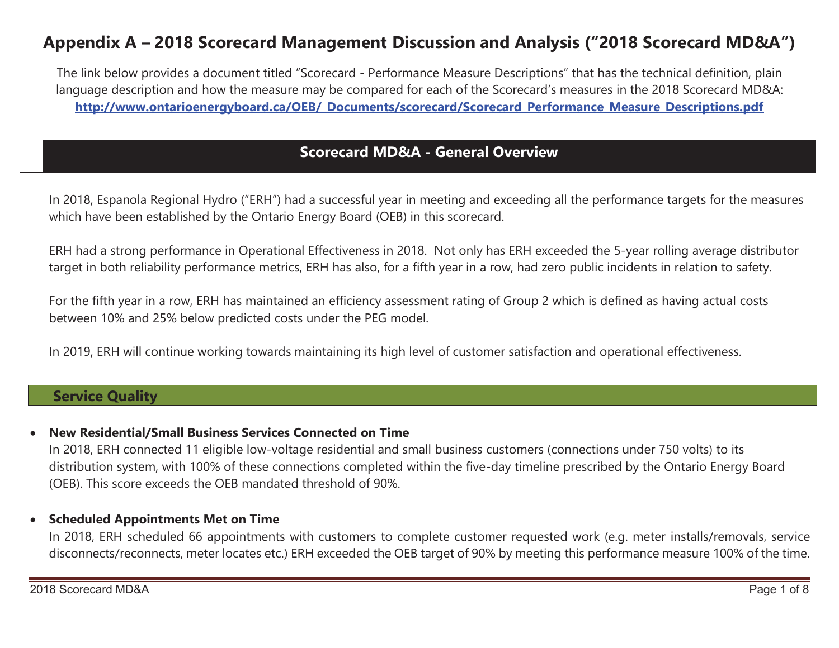# **Appendix A – 2018 Scorecard Management Discussion and Analysis ("2018 Scorecard MD&A")**

The link below provides a document titled "Scorecard - Performance Measure Descriptions" that has the technical definition, plain language description and how the measure may be compared for each of the Scorecard's measures in the 2018 Scorecard MD&A: **[http://www.ontarioenergyboard.ca/OEB/\\_Documents/scorecard/Scorecard\\_Performance\\_Measure\\_Descriptions.pdf](http://www.ontarioenergyboard.ca/OEB/_Documents/scorecard/Scorecard_Performance_Measure_Descriptions.pdf)**

### **Scorecard MD&A - General Overview**

In 2018, Espanola Regional Hydro ("ERH") had a successful year in meeting and exceeding all the performance targets for the measures which have been established by the Ontario Energy Board (OEB) in this scorecard.

ERH had a strong performance in Operational Effectiveness in 2018. Not only has ERH exceeded the 5-year rolling average distributor target in both reliability performance metrics, ERH has also, for a fifth year in a row, had zero public incidents in relation to safety.

For the fifth year in a row, ERH has maintained an efficiency assessment rating of Group 2 which is defined as having actual costs between 10% and 25% below predicted costs under the PEG model.

In 2019, ERH will continue working towards maintaining its high level of customer satisfaction and operational effectiveness.

### **Service Quality**

0 **New Residential/Small Business Services Connected on Time**

In 2018, ERH connected 11 eligible low-voltage residential and small business customers (connections under 750 volts) to its distribution system, with 100% of these connections completed within the five-day timeline prescribed by the Ontario Energy Board (OEB). This score exceeds the OEB mandated threshold of 90%.

#### 0 **Scheduled Appointments Met on Time**

In 2018, ERH scheduled 66 appointments with customers to complete customer requested work (e.g. meter installs/removals, service disconnects/reconnects, meter locates etc.) ERH exceeded the OEB target of 90% by meeting this performance measure 100% of the time.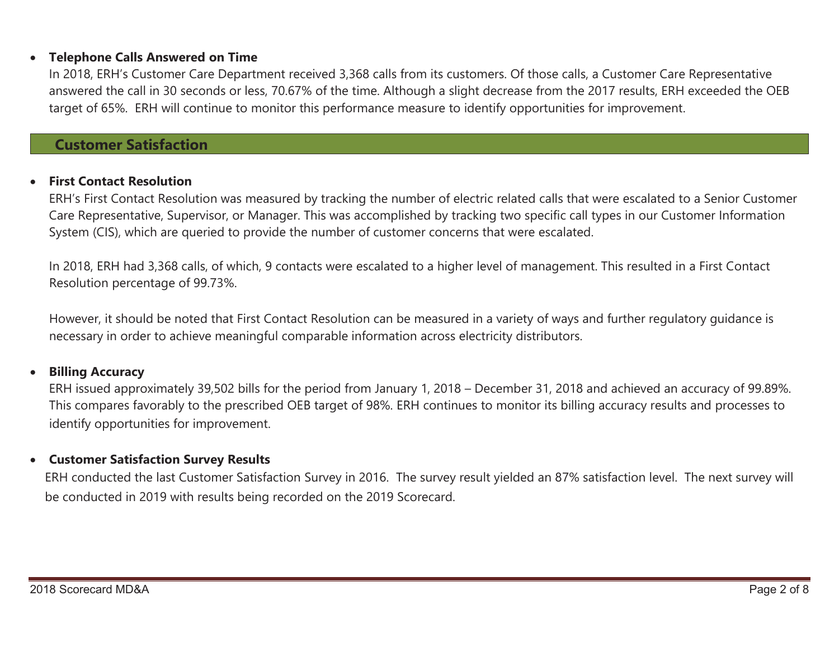#### $\bullet$ **Telephone Calls Answered on Time**

In 2018, ERH's Customer Care Department received 3,368 calls from its customers. Of those calls, a Customer Care Representative answered the call in 30 seconds or less, 70.67% of the time. Although a slight decrease from the 2017 results, ERH exceeded the OEB target of 65%. ERH will continue to monitor this performance measure to identify opportunities for improvement.

### **Customer Satisfaction**

#### 0 **First Contact Resolution**

ERH's First Contact Resolution was measured by tracking the number of electric related calls that were escalated to a Senior Customer Care Representative, Supervisor, or Manager. This was accomplished by tracking two specific call types in our Customer Information System (CIS), which are queried to provide the number of customer concerns that were escalated.

In 2018, ERH had 3,368 calls, of which, 9 contacts were escalated to a higher level of management. This resulted in a First Contact Resolution percentage of 99.73%.

However, it should be noted that First Contact Resolution can be measured in a variety of ways and further regulatory guidance is necessary in order to achieve meaningful comparable information across electricity distributors.

#### $\bullet$ **Billing Accuracy**

ERH issued approximately 39,502 bills for the period from January 1, 2018 – December 31, 2018 and achieved an accuracy of 99.89%. This compares favorably to the prescribed OEB target of 98%. ERH continues to monitor its billing accuracy results and processes to identify opportunities for improvement.

#### $\bullet$ **Customer Satisfaction Survey Results**

ERH conducted the last Customer Satisfaction Survey in 2016. The survey result yielded an 87% satisfaction level. The next survey will be conducted in 2019 with results being recorded on the 2019 Scorecard.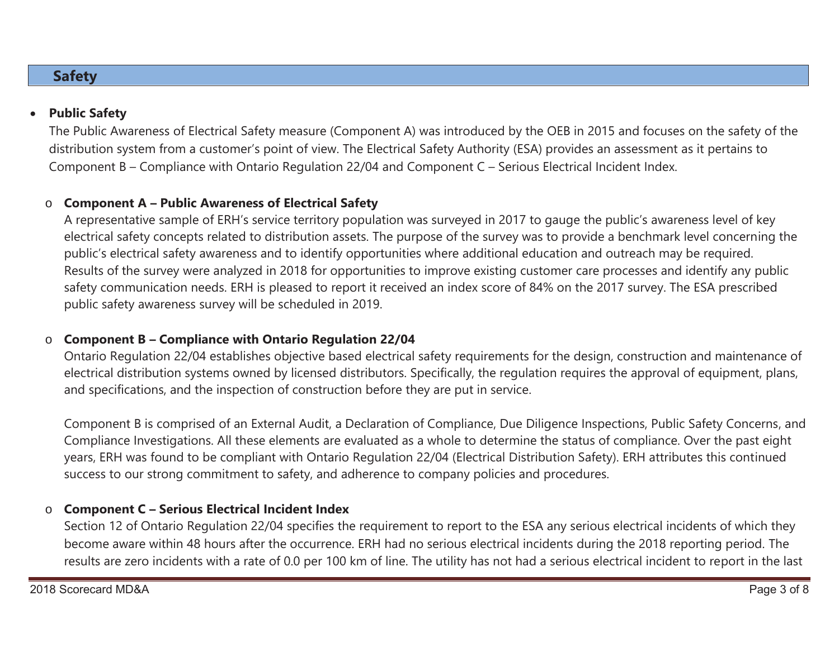### **Safety**

#### 0 **Public Safety**

The Public Awareness of Electrical Safety measure (Component A) was introduced by the OEB in 2015 and focuses on the safety of the distribution system from a customer's point of view. The Electrical Safety Authority (ESA) provides an assessment as it pertains to Component B – Compliance with Ontario Regulation 22/04 and Component C – Serious Electrical Incident Index.

#### o**Component A – Public Awareness of Electrical Safety**

A representative sample of ERH's service territory population was surveyed in 2017 to gauge the public's awareness level of key electrical safety concepts related to distribution assets. The purpose of the survey was to provide a benchmark level concerning the public's electrical safety awareness and to identify opportunities where additional education and outreach may be required. Results of the survey were analyzed in 2018 for opportunities to improve existing customer care processes and identify any public safety communication needs. ERH is pleased to report it received an index score of 84% on the 2017 survey. The ESA prescribed public safety awareness survey will be scheduled in 2019.

#### o**Component B – Compliance with Ontario Regulation 22/04**

Ontario Regulation 22/04 establishes objective based electrical safety requirements for the design, construction and maintenance of electrical distribution systems owned by licensed distributors. Specifically, the regulation requires the approval of equipment, plans, and specifications, and the inspection of construction before they are put in service.

Component B is comprised of an External Audit, a Declaration of Compliance, Due Diligence Inspections, Public Safety Concerns, and Compliance Investigations. All these elements are evaluated as a whole to determine the status of compliance. Over the past eight years, ERH was found to be compliant with Ontario Regulation 22/04 (Electrical Distribution Safety). ERH attributes this continued success to our strong commitment to safety, and adherence to company policies and procedures.

#### o**Component C – Serious Electrical Incident Index**

Section 12 of Ontario Regulation 22/04 specifies the requirement to report to the ESA any serious electrical incidents of which they become aware within 48 hours after the occurrence. ERH had no serious electrical incidents during the 2018 reporting period. The results are zero incidents with a rate of 0.0 per 100 km of line. The utility has not had a serious electrical incident to report in the last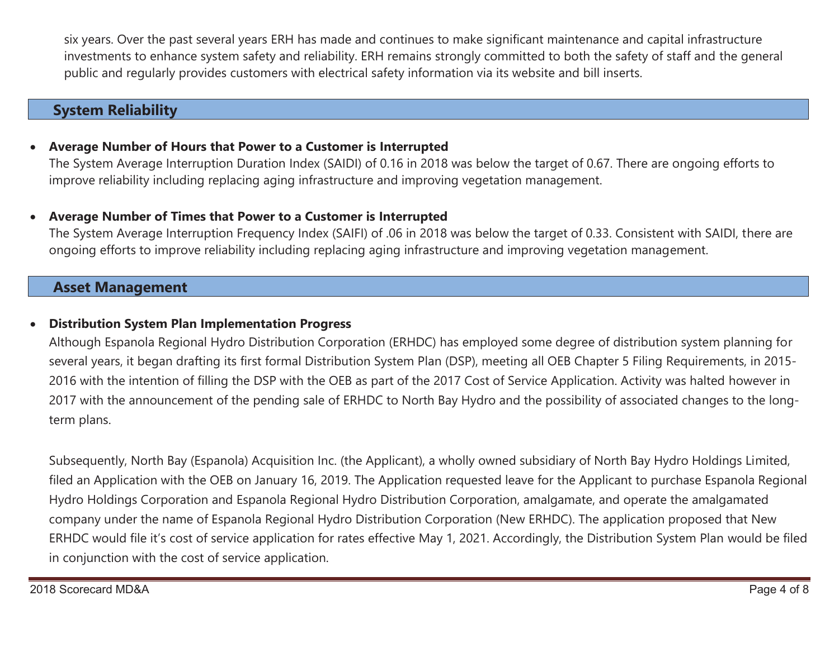six years. Over the past several years ERH has made and continues to make significant maintenance and capital infrastructure investments to enhance system safety and reliability. ERH remains strongly committed to both the safety of staff and the general public and regularly provides customers with electrical safety information via its website and bill inserts.

## **System Reliability**

0 **Average Number of Hours that Power to a Customer is Interrupted**

The System Average Interruption Duration Index (SAIDI) of 0.16 in 2018 was below the target of 0.67. There are ongoing efforts to improve reliability including replacing aging infrastructure and improving vegetation management.

0 **Average Number of Times that Power to a Customer is Interrupted**

The System Average Interruption Frequency Index (SAIFI) of .06 in 2018 was below the target of 0.33. Consistent with SAIDI, there are ongoing efforts to improve reliability including replacing aging infrastructure and improving vegetation management.

### **Asset Management**

#### 0 **Distribution System Plan Implementation Progress**

Although Espanola Regional Hydro Distribution Corporation (ERHDC) has employed some degree of distribution system planning for several years, it began drafting its first formal Distribution System Plan (DSP), meeting all OEB Chapter 5 Filing Requirements, in 2015- 2016 with the intention of filling the DSP with the OEB as part of the 2017 Cost of Service Application. Activity was halted however in 2017 with the announcement of the pending sale of ERHDC to North Bay Hydro and the possibility of associated changes to the longterm plans.

Subsequently, North Bay (Espanola) Acquisition Inc. (the Applicant), a wholly owned subsidiary of North Bay Hydro Holdings Limited, filed an Application with the OEB on January 16, 2019. The Application requested leave for the Applicant to purchase Espanola Regional Hydro Holdings Corporation and Espanola Regional Hydro Distribution Corporation, amalgamate, and operate the amalgamated company under the name of Espanola Regional Hydro Distribution Corporation (New ERHDC). The application proposed that New ERHDC would file it's cost of service application for rates effective May 1, 2021. Accordingly, the Distribution System Plan would be filed in conjunction with the cost of service application.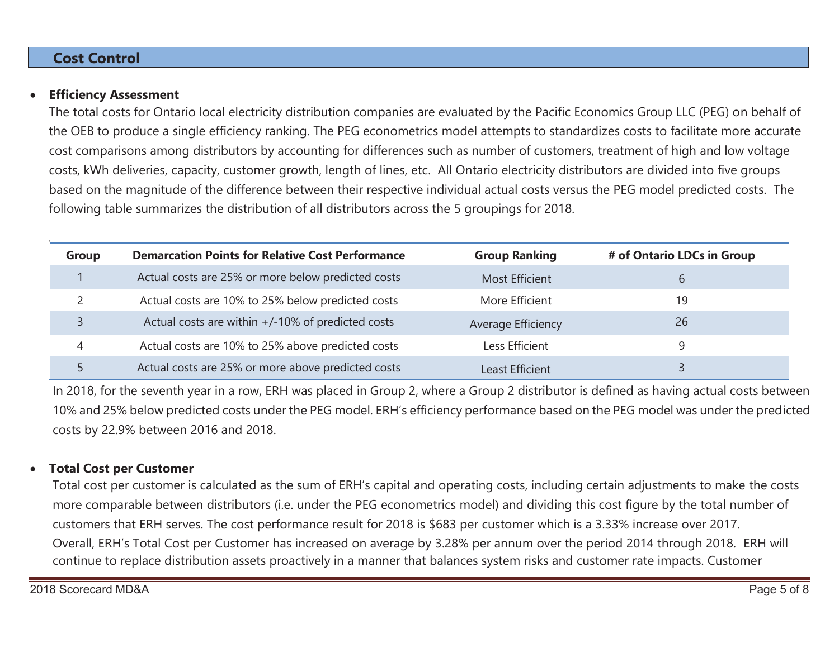### **Cost Control**

#### 0 **Efficiency Assessment**

The total costs for Ontario local electricity distribution companies are evaluated by the Pacific Economics Group LLC (PEG) on behalf of the OEB to produce a single efficiency ranking. The PEG econometrics model attempts to standardizes costs to facilitate more accurate cost comparisons among distributors by accounting for differences such as number of customers, treatment of high and low voltage costs, kWh deliveries, capacity, customer growth, length of lines, etc. All Ontario electricity distributors are divided into five groups based on the magnitude of the difference between their respective individual actual costs versus the PEG model predicted costs. The following table summarizes the distribution of all distributors across the 5 groupings for 2018.

| <b>Group</b> | <b>Demarcation Points for Relative Cost Performance</b> | <b>Group Ranking</b>   | # of Ontario LDCs in Group |
|--------------|---------------------------------------------------------|------------------------|----------------------------|
|              | Actual costs are 25% or more below predicted costs      | <b>Most Efficient</b>  | ь                          |
|              | Actual costs are 10% to 25% below predicted costs       | More Efficient         | 19                         |
|              | Actual costs are within +/-10% of predicted costs       | Average Efficiency     | 26                         |
| 4            | Actual costs are 10% to 25% above predicted costs       | Less Efficient         |                            |
|              | Actual costs are 25% or more above predicted costs      | <b>Least Efficient</b> |                            |

In 2018, for the seventh year in a row, ERH was placed in Group 2, where a Group 2 distributor is defined as having actual costs between 10% and 25% below predicted costs under the PEG model. ERH's efficiency performance based on the PEG model was under the predicted costs by 22.9% between 2016 and 2018.

#### $\bullet$ **Total Cost per Customer**

Total cost per customer is calculated as the sum of ERH's capital and operating costs, including certain adjustments to make the costs more comparable between distributors (i.e. under the PEG econometrics model) and dividing this cost figure by the total number of customers that ERH serves. The cost performance result for 2018 is \$683 per customer which is a 3.33% increase over 2017. Overall, ERH's Total Cost per Customer has increased on average by 3.28% per annum over the period 2014 through 2018. ERH will continue to replace distribution assets proactively in a manner that balances system risks and customer rate impacts. Customer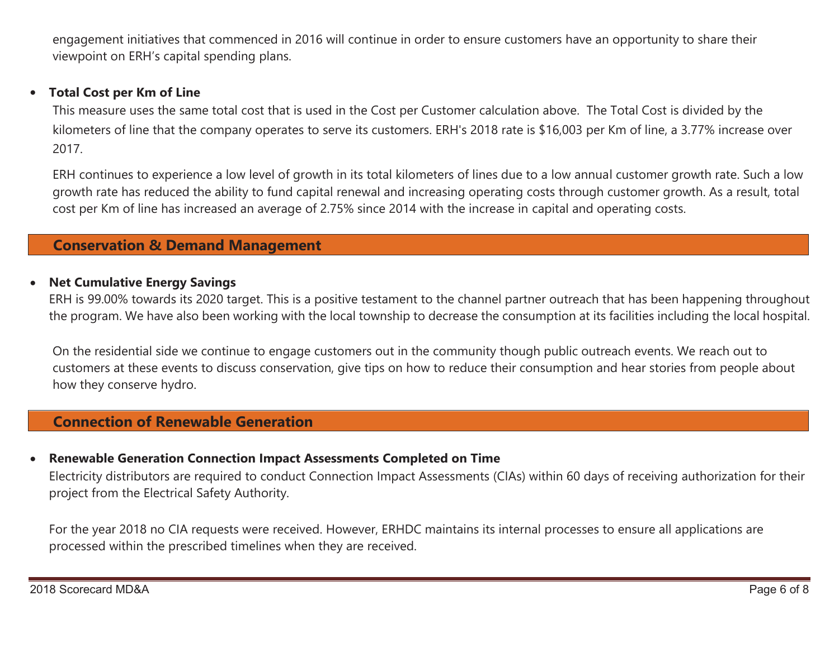engagement initiatives that commenced in 2016 will continue in order to ensure customers have an opportunity to share their viewpoint on ERH's capital spending plans.

#### $\bullet$ **Total Cost per Km of Line**

This measure uses the same total cost that is used in the Cost per Customer calculation above. The Total Cost is divided by the kilometers of line that the company operates to serve its customers. ERH's 2018 rate is \$16,003 per Km of line, a 3.77% increase over 2017.

ERH continues to experience a low level of growth in its total kilometers of lines due to a low annual customer growth rate. Such a low growth rate has reduced the ability to fund capital renewal and increasing operating costs through customer growth. As a result, total cost per Km of line has increased an average of 2.75% since 2014 with the increase in capital and operating costs.

### **Conservation & Demand Management**

#### 0 **Net Cumulative Energy Savings**

ERH is 99.00% towards its 2020 target. This is a positive testament to the channel partner outreach that has been happening throughout the program. We have also been working with the local township to decrease the consumption at its facilities including the local hospital.

On the residential side we continue to engage customers out in the community though public outreach events. We reach out to customers at these events to discuss conservation, give tips on how to reduce their consumption and hear stories from people about how they conserve hydro.

### **Connection of Renewable Generation**

 $\bullet$ **Renewable Generation Connection Impact Assessments Completed on Time**

Electricity distributors are required to conduct Connection Impact Assessments (CIAs) within 60 days of receiving authorization for their project from the Electrical Safety Authority.

For the year 2018 no CIA requests were received. However, ERHDC maintains its internal processes to ensure all applications are processed within the prescribed timelines when they are received.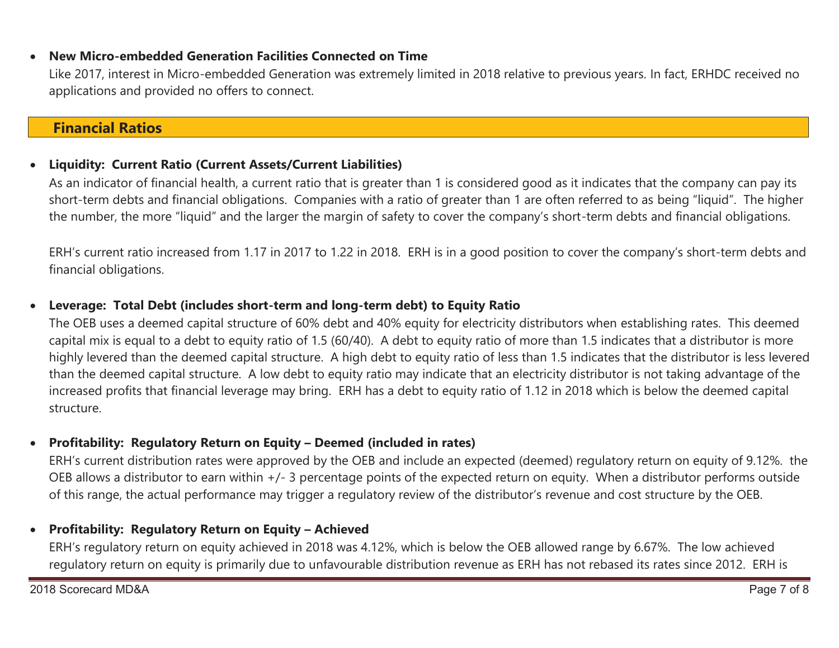#### $\bullet$ **New Micro-embedded Generation Facilities Connected on Time**

Like 2017, interest in Micro-embedded Generation was extremely limited in 2018 relative to previous years. In fact, ERHDC received no applications and provided no offers to connect.

### **Financial Ratios**

#### 0 **Liquidity: Current Ratio (Current Assets/Current Liabilities)**

As an indicator of financial health, a current ratio that is greater than 1 is considered good as it indicates that the company can pay its short-term debts and financial obligations. Companies with a ratio of greater than 1 are often referred to as being "liquid". The higher the number, the more "liquid" and the larger the margin of safety to cover the company's short-term debts and financial obligations.

ERH's current ratio increased from 1.17 in 2017 to 1.22 in 2018. ERH is in a good position to cover the company's short-term debts and financial obligations.

#### $\bullet$ **Leverage: Total Debt (includes short-term and long-term debt) to Equity Ratio**

The OEB uses a deemed capital structure of 60% debt and 40% equity for electricity distributors when establishing rates. This deemed capital mix is equal to a debt to equity ratio of 1.5 (60/40). A debt to equity ratio of more than 1.5 indicates that a distributor is more highly levered than the deemed capital structure. A high debt to equity ratio of less than 1.5 indicates that the distributor is less levered than the deemed capital structure. A low debt to equity ratio may indicate that an electricity distributor is not taking advantage of the increased profits that financial leverage may bring. ERH has a debt to equity ratio of 1.12 in 2018 which is below the deemed capital structure.

#### $\bullet$ **Profitability: Regulatory Return on Equity – Deemed (included in rates)**

ERH's current distribution rates were approved by the OEB and include an expected (deemed) regulatory return on equity of 9.12%. the OEB allows a distributor to earn within +/- 3 percentage points of the expected return on equity. When a distributor performs outside of this range, the actual performance may trigger a regulatory review of the distributor's revenue and cost structure by the OEB.

#### $\bullet$ **Profitability: Regulatory Return on Equity – Achieved**

ERH's regulatory return on equity achieved in 2018 was 4.12%, which is below the OEB allowed range by 6.67%. The low achieved regulatory return on equity is primarily due to unfavourable distribution revenue as ERH has not rebased its rates since 2012. ERH is